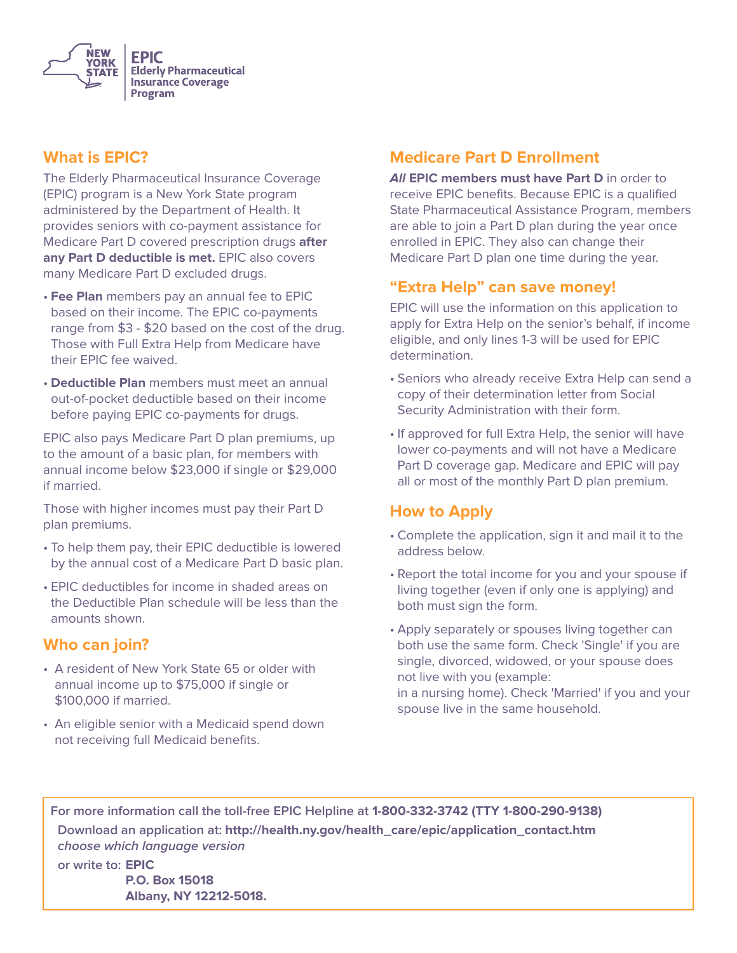

#### **What is EPIC?**

The Elderly Pharmaceutical Insurance Coverage (EPIC) program is a New York State program administered by the Department of Health. It provides seniors with co-payment assistance for Medicare Part D covered prescription drugs **after any Part D deductible is met.** EPIC also covers many Medicare Part D excluded drugs.

- **Fee Plan** members pay an annual fee to EPIC based on their income. The EPIC co-payments range from \$3 - \$20 based on the cost of the drug. Those with Full Extra Help from Medicare have their EPIC fee waived.
- **Deductible Plan** members must meet an annual out-of-pocket deductible based on their income before paying EPIC co-payments for drugs.

EPIC also pays Medicare Part D plan premiums, up to the amount of a basic plan, for members with annual income below \$23,000 if single or \$29,000 if married.

Those with higher incomes must pay their Part D plan premiums.

- To help them pay, their EPIC deductible is lowered by the annual cost of a Medicare Part D basic plan.
- EPIC deductibles for income in shaded areas on the Deductible Plan schedule will be less than the amounts shown.

#### **Who can join?**

- A resident of New York State 65 or older with annual income up to \$75,000 if single or \$100,000 if married.
- An eligible senior with a Medicaid spend down not receiving full Medicaid benefits.

# **Medicare Part D Enrollment**

**All EPIC members must have Part D** in order to receive EPIC benefits. Because EPIC is a qualified State Pharmaceutical Assistance Program, members are able to join a Part D plan during the year once enrolled in EPIC. They also can change their Medicare Part D plan one time during the year.

#### **"Extra Help" can save money!**

EPIC will use the information on this application to apply for Extra Help on the senior's behalf, if income eligible, and only lines 1-3 will be used for EPIC determination.

- Seniors who already receive Extra Help can send a copy of their determination letter from Social Security Administration with their form.
- If approved for full Extra Help, the senior will have lower co-payments and will not have a Medicare Part D coverage gap. Medicare and EPIC will pay all or most of the monthly Part D plan premium.

### **How to Apply**

- Complete the application, sign it and mail it to the address below.
- Report the total income for you and your spouse if living together (even if only one is applying) and both must sign the form.
- Apply separately or spouses living together can both use the same form. Check 'Single' if you are single, divorced, widowed, or your spouse does not live with you (example: in a nursing home). Check 'Married' if you and your spouse live in the same household.

For more information call the toll-free EPIC Helpline at 1-800-332-3742 (TTY 1-800-290-9138)

 **Download an application at: http://health.ny.gov/health\_care/epic/application\_contact.htm choose which language version**

 **or write to: EPIC P.O. Box 15018 Albany, NY 12212-5018.**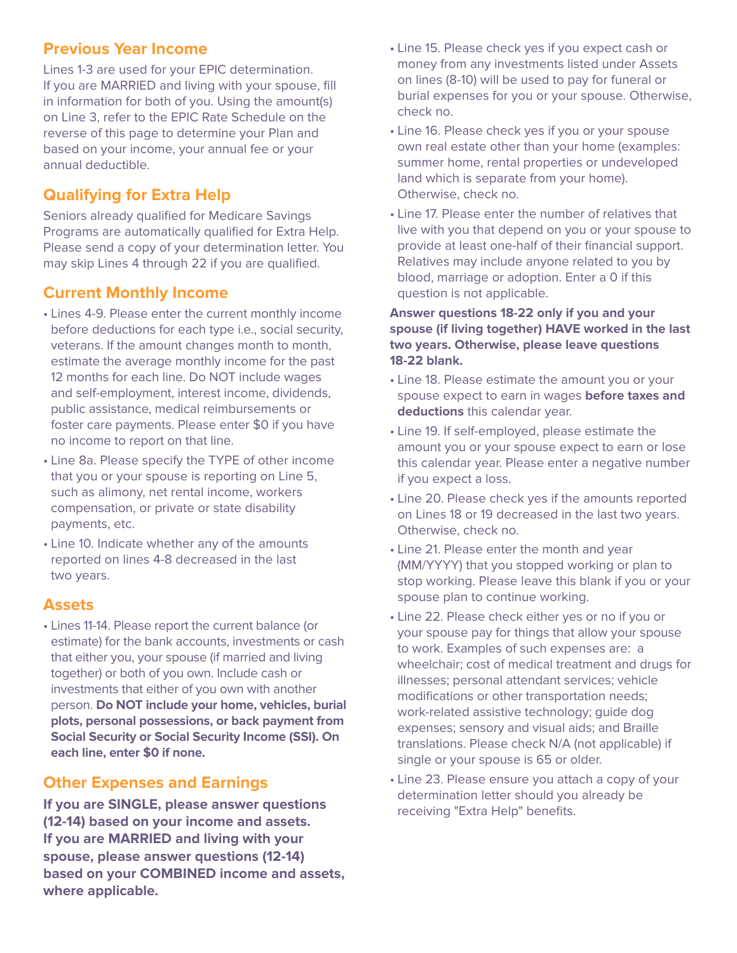## **Previous Year Income**

Lines 1-3 are used for your EPIC determination. If you are MARRIED and living with your spouse, fill in information for both of you. Using the amount(s) on Line 3, refer to the EPIC Rate Schedule on the reverse of this page to determine your Plan and based on your income, your annual fee or your annual deductible.

# **Qualifying for Extra Help**

Seniors already qualified for Medicare Savings Programs are automatically qualified for Extra Help. Please send a copy of your determination letter. You may skip Lines 4 through 22 if you are qualified.

# **Current Monthly Income**

- Lines 4-9. Please enter the current monthly income before deductions for each type i.e., social security, veterans. If the amount changes month to month, estimate the average monthly income for the past 12 months for each line. Do NOT include wages and self-employment, interest income, dividends, public assistance, medical reimbursements or foster care payments. Please enter \$0 if you have no income to report on that line.
- Line 8a. Please specify the TYPE of other income that you or your spouse is reporting on Line 5, such as alimony, net rental income, workers compensation, or private or state disability payments, etc.
- Line 10. Indicate whether any of the amounts reported on lines 4-8 decreased in the last two years.

### **Assets**

• Lines 11-14. Please report the current balance (or estimate) for the bank accounts, investments or cash that either you, your spouse (if married and living together) or both of you own. Include cash or investments that either of you own with another person. **Do NOT include your home, vehicles, burial plots, personal possessions, or back payment from Social Security or Social Security Income (SSI). On each line, enter \$0 if none.**

### **Other Expenses and Earnings**

**If you are SINGLE, please answer questions (12-14) based on your income and assets. If you are MARRIED and living with your spouse, please answer questions (12-14) based on your COMBINED income and assets, where applicable.**

- Line 15. Please check yes if you expect cash or money from any investments listed under Assets on lines (8-10) will be used to pay for funeral or burial expenses for you or your spouse. Otherwise, check no.
- Line 16. Please check yes if you or your spouse own real estate other than your home (examples: summer home, rental properties or undeveloped land which is separate from your home). Otherwise, check no.
- Line 17. Please enter the number of relatives that live with you that depend on you or your spouse to provide at least one-half of their financial support. Relatives may include anyone related to you by blood, marriage or adoption. Enter a 0 if this question is not applicable.

#### **Answer questions 18-22 only if you and your spouse (if living together) HAVE worked in the last two years. Otherwise, please leave questions 18-22 blank.**

- Line 18. Please estimate the amount you or your spouse expect to earn in wages **before taxes and deductions** this calendar year.
- Line 19. If self-employed, please estimate the amount you or your spouse expect to earn or lose this calendar year. Please enter a negative number if you expect a loss.
- Line 20. Please check yes if the amounts reported on Lines 18 or 19 decreased in the last two years. Otherwise, check no.
- Line 21. Please enter the month and year (MM/YYYY) that you stopped working or plan to stop working. Please leave this blank if you or your spouse plan to continue working.
- Line 22. Please check either yes or no if you or your spouse pay for things that allow your spouse to work. Examples of such expenses are: a wheelchair; cost of medical treatment and drugs for illnesses; personal attendant services; vehicle modifications or other transportation needs; work-related assistive technology; guide dog expenses; sensory and visual aids; and Braille translations. Please check N/A (not applicable) if single or your spouse is 65 or older.
- Line 23. Please ensure you attach a copy of your determination letter should you already be receiving "Extra Help" benefits.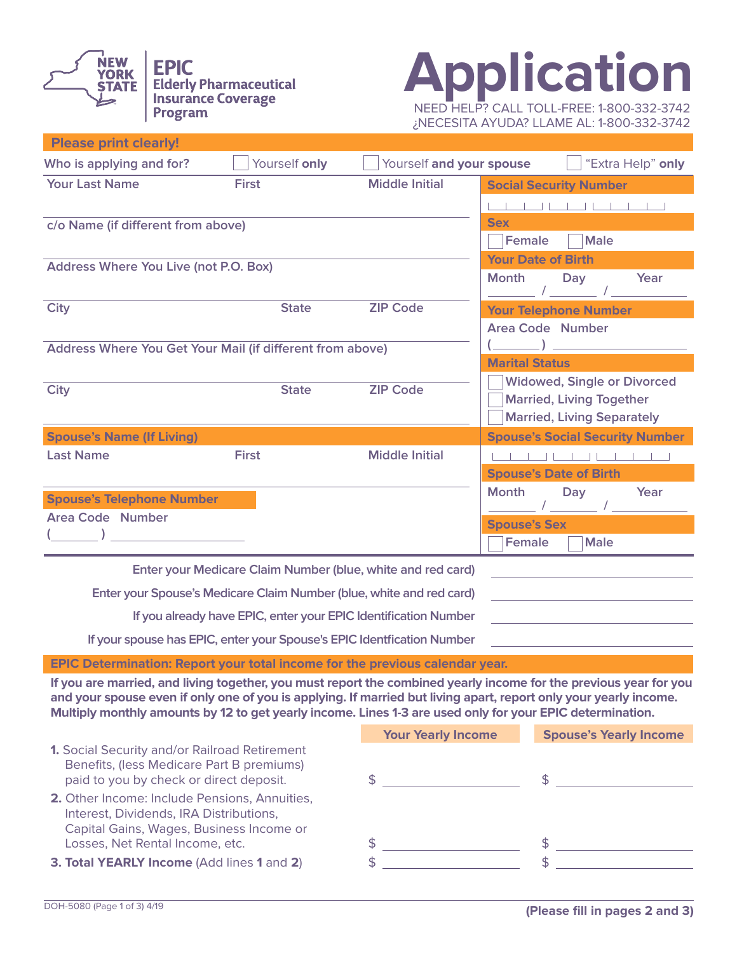

**Please print clearly!**



¿NECESITA AYUDA? LLAME AL: 1-800-332-3742

| Who is applying and for?                                             | Yourself only | Yourself and your spouse                                    | "Extra Help" only                      |
|----------------------------------------------------------------------|---------------|-------------------------------------------------------------|----------------------------------------|
| <b>Your Last Name</b>                                                | <b>First</b>  | <b>Middle Initial</b>                                       | <b>Social Security Number</b>          |
|                                                                      |               |                                                             |                                        |
| c/o Name (if different from above)                                   |               |                                                             | <b>Sex</b>                             |
|                                                                      |               |                                                             | <b>Male</b><br><b>Female</b>           |
| Address Where You Live (not P.O. Box)                                |               |                                                             | <b>Your Date of Birth</b>              |
|                                                                      |               |                                                             | Year<br><b>Month</b><br>Day            |
| <b>City</b>                                                          | <b>State</b>  | <b>ZIP Code</b>                                             | <b>Your Telephone Number</b>           |
|                                                                      |               |                                                             | <b>Area Code Number</b>                |
| Address Where You Get Your Mail (if different from above)            |               |                                                             |                                        |
|                                                                      |               |                                                             | <b>Marital Status</b>                  |
| <b>City</b>                                                          | <b>State</b>  | <b>ZIP Code</b>                                             | <b>Widowed, Single or Divorced</b>     |
|                                                                      |               |                                                             | <b>Married, Living Together</b>        |
|                                                                      |               |                                                             | <b>Married, Living Separately</b>      |
| <b>Spouse's Name (If Living)</b>                                     |               |                                                             | <b>Spouse's Social Security Number</b> |
| <b>Last Name</b>                                                     | <b>First</b>  | <b>Middle Initial</b>                                       | $1$ 11 1 11 1                          |
|                                                                      |               |                                                             | <b>Spouse's Date of Birth</b>          |
| <b>Spouse's Telephone Number</b>                                     |               |                                                             | <b>Month</b><br>Year<br>Day            |
| <b>Area Code Number</b>                                              |               |                                                             | <b>Spouse's Sex</b>                    |
|                                                                      |               |                                                             | Female<br><b>Male</b>                  |
|                                                                      |               | Enter your Medicare Claim Number (blue, white and red card) |                                        |
| Enter your Spouse's Medicare Claim Number (blue, white and red card) |               |                                                             |                                        |

**If you already have EPIC, enter your EPIC Identification Number**

**If your spouse has EPIC, enter your Spouse's EPIC Identfication Number**

**EPIC Determination: Report your total income for the previous calendar year.**

**If you are married, and living together, you must report the combined yearly income for the previous year for you and your spouse even if only one of you is applying. If married but living apart, report only your yearly income. Multiply monthly amounts by 12 to get yearly income. Lines 1-3 are used only for your EPIC determination.**

|                                                                                                                                       | <b>Your Yearly Income</b> | <b>Spouse's Yearly Income</b> |
|---------------------------------------------------------------------------------------------------------------------------------------|---------------------------|-------------------------------|
| 1. Social Security and/or Railroad Retirement<br>Benefits, (less Medicare Part B premiums)<br>paid to you by check or direct deposit. |                           |                               |
| 2. Other Income: Include Pensions, Annuities,<br>Interest, Dividends, IRA Distributions,<br>Capital Gains, Wages, Business Income or  |                           |                               |
| Losses, Net Rental Income, etc.                                                                                                       |                           |                               |
| 3. Total YEARLY Income (Add lines 1 and 2)                                                                                            |                           |                               |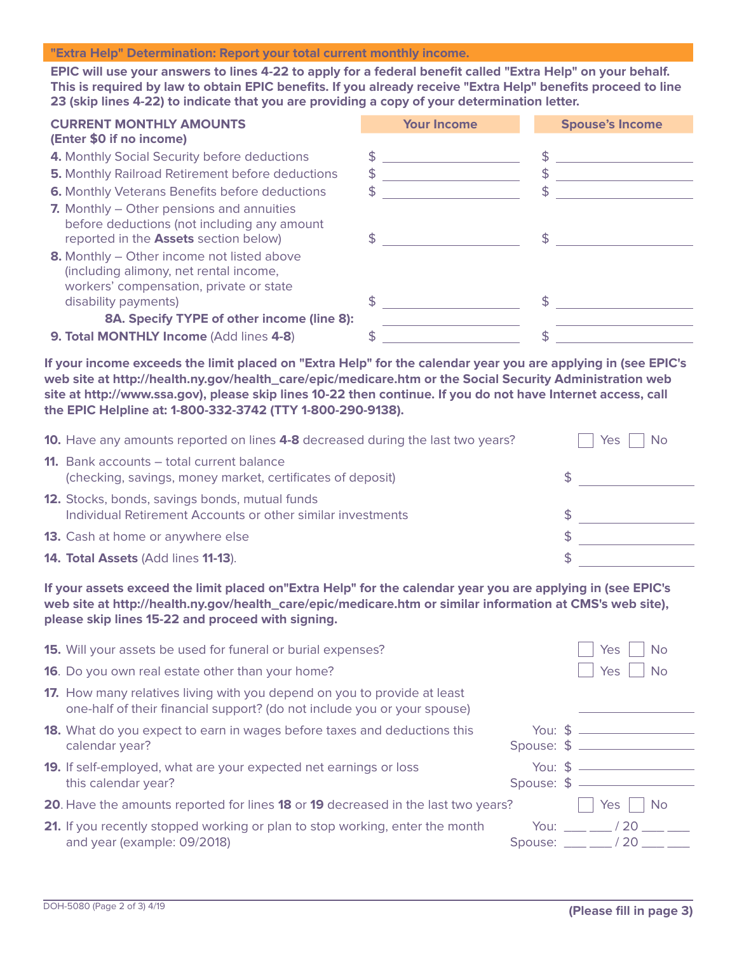#### **"Extra Help" Determination: Report your total current monthly income.**

**EPIC will use your answers to lines 4-22 to apply for a federal benefit called "Extra Help" on your behalf. This is required by law to obtain EPIC benefits. If you already receive "Extra Help" benefits proceed to line 23 (skip lines 4-22) to indicate that you are providing a copy of your determination letter.**

| <b>CURRENT MONTHLY AMOUNTS</b>                                                                                                  | <b>Your Income</b> | <b>Spouse's Income</b> |
|---------------------------------------------------------------------------------------------------------------------------------|--------------------|------------------------|
| (Enter \$0 if no income)                                                                                                        |                    |                        |
| 4. Monthly Social Security before deductions                                                                                    |                    |                        |
| <b>5. Monthly Railroad Retirement before deductions</b>                                                                         | \$                 | $\mathfrak{S}$         |
| <b>6.</b> Monthly Veterans Benefits before deductions                                                                           | \$                 | S                      |
| 7. Monthly – Other pensions and annuities<br>before deductions (not including any amount                                        |                    |                        |
| reported in the Assets section below)                                                                                           |                    |                        |
| 8. Monthly – Other income not listed above<br>(including alimony, net rental income,<br>workers' compensation, private or state |                    |                        |
| disability payments)                                                                                                            |                    |                        |
| 8A. Specify TYPE of other income (line 8):                                                                                      |                    |                        |
| 9. Total MONTHLY Income (Add lines 4-8)                                                                                         |                    |                        |

**If your income exceeds the limit placed on "Extra Help" for the calendar year you are applying in (see EPIC's web site at http://health.ny.gov/health\_care/epic/medicare.htm or the Social Security Administration web site at http://www.ssa.gov), please skip lines 10-22 then continue. If you do not have Internet access, call the EPIC Helpline at: 1-800-332-3742 (TTY 1-800-290-9138).**

| <b>10.</b> Have any amounts reported on lines 4-8 decreased during the last two years?                         | <b>No</b><br>Yes |
|----------------------------------------------------------------------------------------------------------------|------------------|
| <b>11.</b> Bank accounts – total current balance<br>(checking, savings, money market, certificates of deposit) |                  |
| 12. Stocks, bonds, savings bonds, mutual funds<br>Individual Retirement Accounts or other similar investments  | S                |
| <b>13.</b> Cash at home or anywhere else                                                                       | S                |
| 14. Total Assets (Add lines 11-13).                                                                            |                  |

**If your assets exceed the limit placed on"Extra Help" for the calendar year you are applying in (see EPIC's web site at http://health.ny.gov/health\_care/epic/medicare.htm or similar information at CMS's web site), please skip lines 15-22 and proceed with signing.**

| <b>15.</b> Will your assets be used for funeral or burial expenses?                                                                                         |                                      | <b>No</b><br>Yes                                                |
|-------------------------------------------------------------------------------------------------------------------------------------------------------------|--------------------------------------|-----------------------------------------------------------------|
| <b>16.</b> Do you own real estate other than your home?                                                                                                     |                                      | <b>No</b><br>Yes                                                |
| <b>17.</b> How many relatives living with you depend on you to provide at least<br>one-half of their financial support? (do not include you or your spouse) |                                      |                                                                 |
| <b>18.</b> What do you expect to earn in wages before taxes and deductions this<br>calendar year?                                                           | You: $\sin \theta$<br>Spouse: $$$ __ |                                                                 |
| <b>19.</b> If self-employed, what are your expected net earnings or loss<br>this calendar year?                                                             | You: $$$<br>Spouse: $$ -$            |                                                                 |
| 20. Have the amounts reported for lines 18 or 19 decreased in the last two years?                                                                           |                                      | Yes<br>N <sub>o</sub>                                           |
| 21. If you recently stopped working or plan to stop working, enter the month<br>and year (example: 09/2018)                                                 | You:                                 | 20<br>Spouse: $\frac{1}{20}$ / 20 $\frac{1}{20}$ $\frac{1}{20}$ |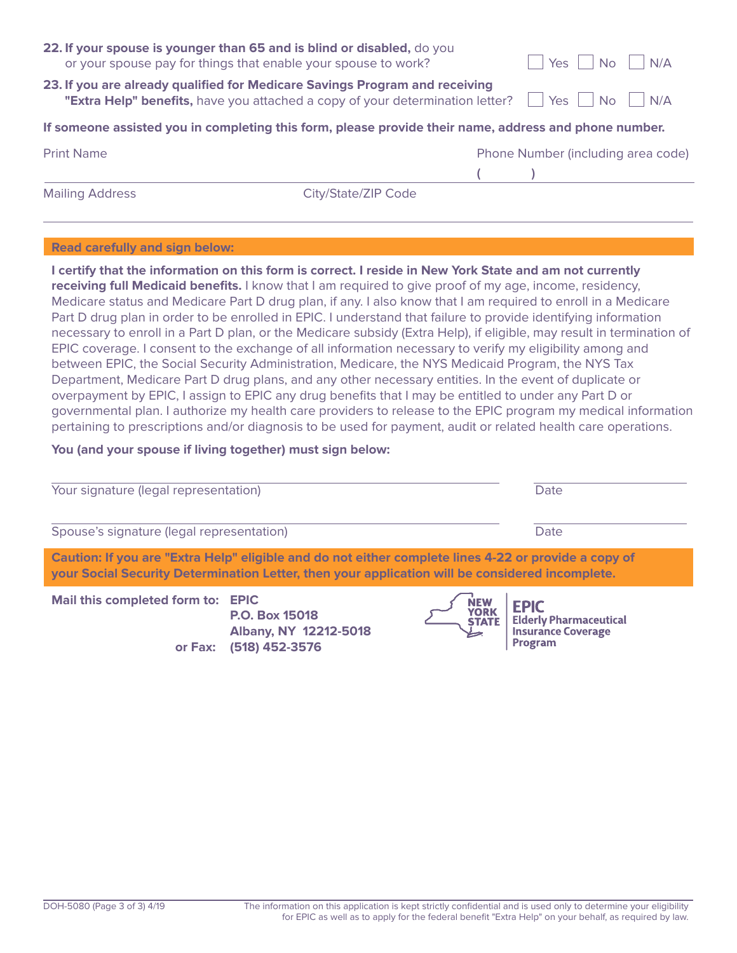| 22. If your spouse is younger than 65 and is blind or disabled, do you<br>Yes<br>N/A<br>or your spouse pay for things that enable your spouse to work?<br><b>No</b>                             |                     |  |  |  |                                    |  |  |  |
|-------------------------------------------------------------------------------------------------------------------------------------------------------------------------------------------------|---------------------|--|--|--|------------------------------------|--|--|--|
| 23. If you are already qualified for Medicare Savings Program and receiving<br>$\blacksquare$ No<br>Yes<br>N/A<br>"Extra Help" benefits, have you attached a copy of your determination letter? |                     |  |  |  |                                    |  |  |  |
| If someone assisted you in completing this form, please provide their name, address and phone number.                                                                                           |                     |  |  |  |                                    |  |  |  |
| <b>Print Name</b>                                                                                                                                                                               |                     |  |  |  | Phone Number (including area code) |  |  |  |
|                                                                                                                                                                                                 |                     |  |  |  |                                    |  |  |  |
| <b>Mailing Address</b>                                                                                                                                                                          | City/State/ZIP Code |  |  |  |                                    |  |  |  |
|                                                                                                                                                                                                 |                     |  |  |  |                                    |  |  |  |
| <b>Read carefully and sign below:</b>                                                                                                                                                           |                     |  |  |  |                                    |  |  |  |
| I certify that the information on this form is correct. I reside in New York State and am not currently                                                                                         |                     |  |  |  |                                    |  |  |  |

**receiving full Medicaid benefits.** I know that I am required to give proof of my age, income, residency, Medicare status and Medicare Part D drug plan, if any. I also know that I am required to enroll in a Medicare Part D drug plan in order to be enrolled in EPIC. I understand that failure to provide identifying information necessary to enroll in a Part D plan, or the Medicare subsidy (Extra Help), if eligible, may result in termination of EPIC coverage. I consent to the exchange of all information necessary to verify my eligibility among and between EPIC, the Social Security Administration, Medicare, the NYS Medicaid Program, the NYS Tax Department, Medicare Part D drug plans, and any other necessary entities. In the event of duplicate or overpayment by EPIC, I assign to EPIC any drug benefits that I may be entitled to under any Part D or governmental plan. I authorize my health care providers to release to the EPIC program my medical information pertaining to prescriptions and/or diagnosis to be used for payment, audit or related health care operations.

#### **You (and your spouse if living together) must sign below:**

**or Fax: (518) 452-3576**

| Your signature (legal representation)                                                                                                                                                                   | Date                                                             |  |                                                                                   |  |
|---------------------------------------------------------------------------------------------------------------------------------------------------------------------------------------------------------|------------------------------------------------------------------|--|-----------------------------------------------------------------------------------|--|
| Spouse's signature (legal representation)                                                                                                                                                               |                                                                  |  | Date                                                                              |  |
| Caution: If you are "Extra Help" eligible and do not either complete lines 4-22 or provide a copy of<br>your Social Security Determination Letter, then your application will be considered incomplete. |                                                                  |  |                                                                                   |  |
| Mail this completed form to: EPIC<br>or Eavi                                                                                                                                                            | P.O. Box 15018<br>Albany, NY 12212-5018<br><b>IE49\ AEQ_3E7G</b> |  | YORK EPIC<br>STATE Elderly Pharmaceutical<br><b>Insurance Coverage</b><br>Program |  |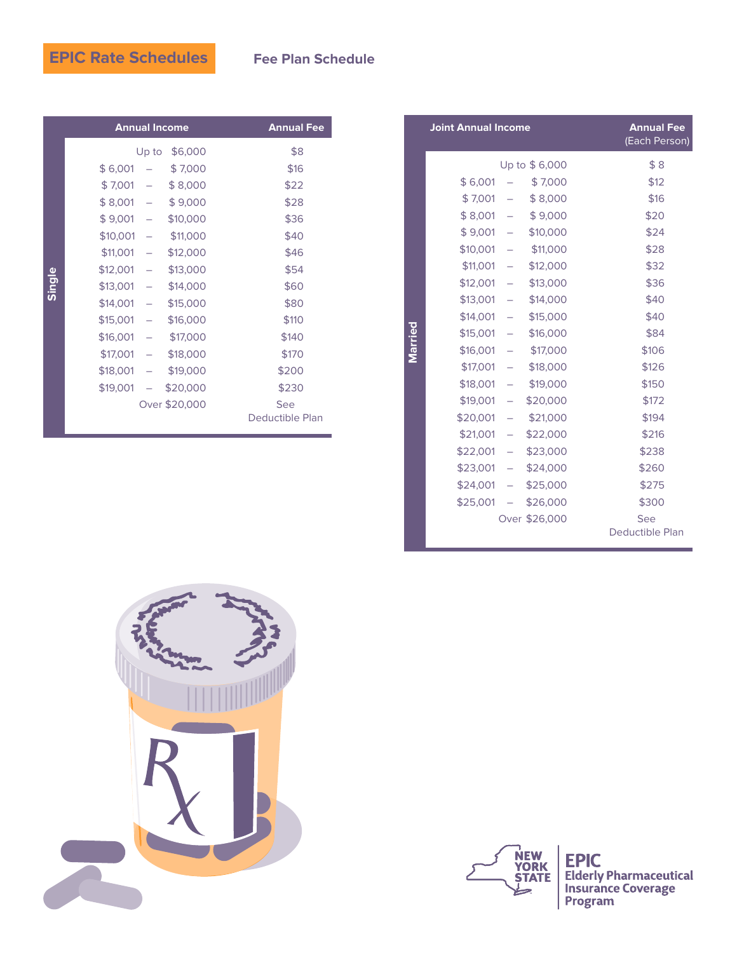# **EPIC Rate Schedules**

#### **Fee Plan Schedule**

| <b>Annual Income</b>                |               | <b>Annual Fee</b>      |
|-------------------------------------|---------------|------------------------|
| Up to                               | \$6,000       | \$8                    |
| \$6,001<br>$\overline{\phantom{0}}$ | \$7,000       | \$16                   |
| \$7,001<br>$\sim$                   | \$8,000       | \$22                   |
| $$8,001 -$                          | \$9,000       | \$28                   |
| $$9,001 -$                          | \$10,000      | \$36                   |
| \$10,001<br>$\sim$                  | \$11,000      | \$40                   |
| \$11,001<br>$\sim$                  | \$12,000      | \$46                   |
| \$12,001<br>$\sim$ $-$              | \$13,000      | \$54                   |
| \$13,001<br>$\sim$                  | \$14,000      | \$60                   |
| \$14,001<br>$\sim$                  | \$15,000      | \$80                   |
| \$15,001<br>$\sim$ $-$              | \$16,000      | \$110                  |
| \$16,001<br>$\sim$                  | \$17,000      | \$140                  |
| \$17,001<br>$\sim$                  | \$18,000      | \$170                  |
| \$18,001<br>$\bar{\phantom{a}}$ =   | \$19,000      | \$200                  |
| \$19,001<br>$\sim$                  | \$20,000      | \$230                  |
|                                     | Over \$20,000 | See<br>Deductible Plan |

|         | <b>Joint Annual Income</b> |                          |               | <b>Annual Fee</b><br>(Each Person) |
|---------|----------------------------|--------------------------|---------------|------------------------------------|
|         |                            |                          | Up to \$6,000 | \$8                                |
|         | \$6,001                    |                          | \$7,000       | \$12                               |
|         | \$7,001                    | $\overline{\phantom{0}}$ | \$8,000       | \$16                               |
|         | \$8,001                    |                          | \$9,000       | \$20                               |
|         | \$9,001                    | $\overline{\phantom{a}}$ | \$10,000      | \$24                               |
|         | \$10,001                   | $\overline{\phantom{0}}$ | \$11,000      | \$28                               |
|         | \$11,001                   | $\sim$ $-$               | \$12,000      | \$32                               |
|         | \$12,001                   | $\overline{\phantom{0}}$ | \$13,000      | \$36                               |
|         | \$13,001                   | $\overline{\phantom{0}}$ | \$14,000      | \$40                               |
|         | \$14,001                   | $\overline{\phantom{0}}$ | \$15,000      | \$40                               |
| Married | \$15,001                   | $\overline{\phantom{0}}$ | \$16,000      | \$84                               |
|         | \$16,001                   |                          | \$17,000      | \$106                              |
|         | \$17,001                   | $\overline{\phantom{0}}$ | \$18,000      | \$126                              |
|         | \$18,001                   |                          | \$19,000      | \$150                              |
|         | \$19,001                   | $\overline{\phantom{0}}$ | \$20,000      | \$172                              |
|         | \$20,001                   | $\overline{\phantom{a}}$ | \$21,000      | \$194                              |
|         | \$21,001                   | $\overline{\phantom{0}}$ | \$22,000      | \$216                              |
|         | \$22,001                   | $\overline{\phantom{m}}$ | \$23,000      | \$238                              |
|         | \$23,001                   | ÷                        | \$24,000      | \$260                              |
|         | \$24,001                   | $\equiv$                 | \$25,000      | \$275                              |
|         | \$25,001                   | $\overline{\phantom{0}}$ | \$26,000      | \$300                              |
|         |                            |                          | Over \$26,000 | See                                |
|         |                            |                          |               | Deductible Plan                    |





**EPIC**<br>Elderly Pharmaceutical<br>Insurance Coverage<br>Program